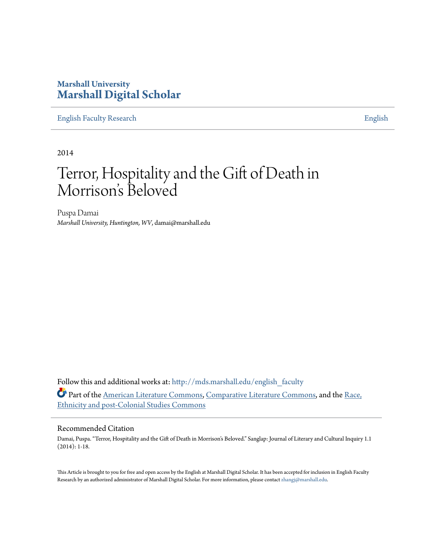### **Marshall University [Marshall Digital Scholar](http://mds.marshall.edu?utm_source=mds.marshall.edu%2Fenglish_faculty%2F27&utm_medium=PDF&utm_campaign=PDFCoverPages)**

[English Faculty Research](http://mds.marshall.edu/english_faculty?utm_source=mds.marshall.edu%2Fenglish_faculty%2F27&utm_medium=PDF&utm_campaign=PDFCoverPages) **[English](http://mds.marshall.edu/english?utm_source=mds.marshall.edu%2Fenglish_faculty%2F27&utm_medium=PDF&utm_campaign=PDFCoverPages)** 

2014

# Terror, Hospitality and the Gift of Death in Morrison 's Beloved

Puspa Damai *Marshall University, Huntington, WV*, damai@marshall.edu

Follow this and additional works at: [http://mds.marshall.edu/english\\_faculty](http://mds.marshall.edu/english_faculty?utm_source=mds.marshall.edu%2Fenglish_faculty%2F27&utm_medium=PDF&utm_campaign=PDFCoverPages) Part of the [American Literature Commons,](http://network.bepress.com/hgg/discipline/441?utm_source=mds.marshall.edu%2Fenglish_faculty%2F27&utm_medium=PDF&utm_campaign=PDFCoverPages) [Comparative Literature Commons,](http://network.bepress.com/hgg/discipline/454?utm_source=mds.marshall.edu%2Fenglish_faculty%2F27&utm_medium=PDF&utm_campaign=PDFCoverPages) and the [Race,](http://network.bepress.com/hgg/discipline/566?utm_source=mds.marshall.edu%2Fenglish_faculty%2F27&utm_medium=PDF&utm_campaign=PDFCoverPages) [Ethnicity and post-Colonial Studies Commons](http://network.bepress.com/hgg/discipline/566?utm_source=mds.marshall.edu%2Fenglish_faculty%2F27&utm_medium=PDF&utm_campaign=PDFCoverPages)

#### Recommended Citation

Damai, Puspa. "Terror, Hospitality and the Gift of Death in Morrison's Beloved." Sanglap: Journal of Literary and Cultural Inquiry 1.1 (2014): 1-18.

This Article is brought to you for free and open access by the English at Marshall Digital Scholar. It has been accepted for inclusion in English Faculty Research by an authorized administrator of Marshall Digital Scholar. For more information, please contact [zhangj@marshall.edu.](mailto:zhangj@marshall.edu)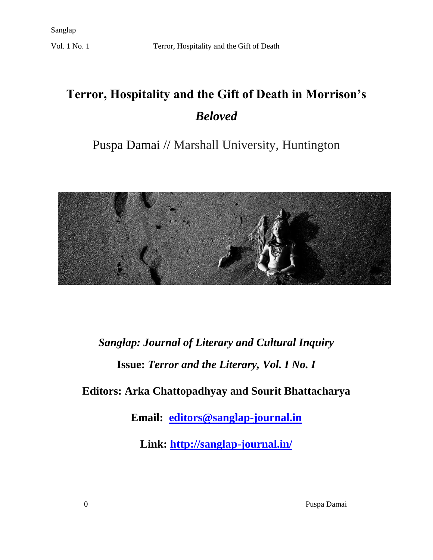# **Terror, Hospitality and the Gift of Death in Morrison's**  *Beloved*

## Puspa Damai // Marshall University, Huntington



# *Sanglap: Journal of Literary and Cultural Inquiry* **Issue:** *Terror and the Literary, Vol. I No. I*

### **Editors: Arka Chattopadhyay and Sourit Bhattacharya**

**Email: [editors@sanglap-journal.in](mailto:editors@sanglap-journal.in)**

**Link:<http://sanglap-journal.in/>**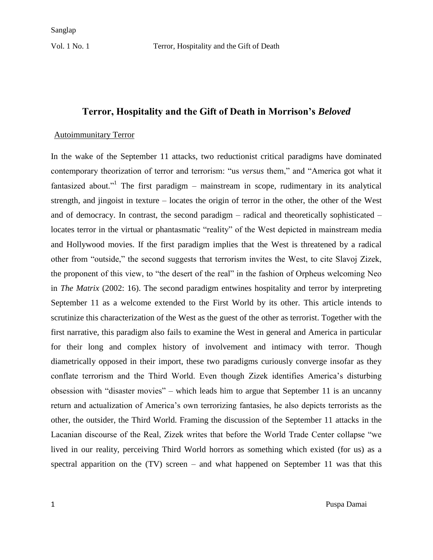### **Terror, Hospitality and the Gift of Death in Morrison's** *Beloved*

#### Autoimmunitary Terror

In the wake of the September 11 attacks, two reductionist critical paradigms have dominated contemporary theorization of terror and terrorism: "us *versus* them," and "America got what it fantasized about."<sup>1</sup> The first paradigm – mainstream in scope, rudimentary in its analytical strength, and jingoist in texture – locates the origin of terror in the other, the other of the West and of democracy. In contrast, the second paradigm – radical and theoretically sophisticated – locates terror in the virtual or phantasmatic "reality" of the West depicted in mainstream media and Hollywood movies. If the first paradigm implies that the West is threatened by a radical other from "outside," the second suggests that terrorism invites the West, to cite Slavoj Zizek, the proponent of this view, to "the desert of the real" in the fashion of Orpheus welcoming Neo in *The Matrix* (2002: 16). The second paradigm entwines hospitality and terror by interpreting September 11 as a welcome extended to the First World by its other. This article intends to scrutinize this characterization of the West as the guest of the other as terrorist. Together with the first narrative, this paradigm also fails to examine the West in general and America in particular for their long and complex history of involvement and intimacy with terror. Though diametrically opposed in their import, these two paradigms curiously converge insofar as they conflate terrorism and the Third World. Even though Zizek identifies America's disturbing obsession with "disaster movies" – which leads him to argue that September 11 is an uncanny return and actualization of America's own terrorizing fantasies, he also depicts terrorists as the other, the outsider, the Third World. Framing the discussion of the September 11 attacks in the Lacanian discourse of the Real, Zizek writes that before the World Trade Center collapse "we lived in our reality, perceiving Third World horrors as something which existed (for us) as a spectral apparition on the (TV) screen – and what happened on September 11 was that this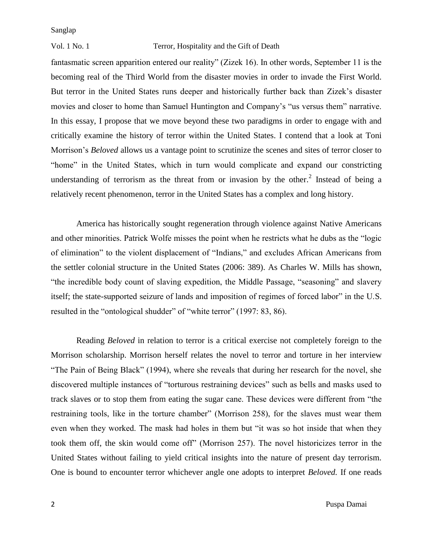#### Vol. 1 No. 1 Terror, Hospitality and the Gift of Death

fantasmatic screen apparition entered our reality" (Zizek 16). In other words, September 11 is the becoming real of the Third World from the disaster movies in order to invade the First World. But terror in the United States runs deeper and historically further back than Zizek's disaster movies and closer to home than Samuel Huntington and Company's "us versus them" narrative. In this essay, I propose that we move beyond these two paradigms in order to engage with and critically examine the history of terror within the United States. I contend that a look at Toni Morrison's *Beloved* allows us a vantage point to scrutinize the scenes and sites of terror closer to "home" in the United States, which in turn would complicate and expand our constricting understanding of terrorism as the threat from or invasion by the other.<sup>2</sup> Instead of being a relatively recent phenomenon, terror in the United States has a complex and long history.

America has historically sought regeneration through violence against Native Americans and other minorities. Patrick Wolfe misses the point when he restricts what he dubs as the "logic of elimination" to the violent displacement of "Indians," and excludes African Americans from the settler colonial structure in the United States (2006: 389). As Charles W. Mills has shown, "the incredible body count of slaving expedition, the Middle Passage, "seasoning" and slavery itself; the state-supported seizure of lands and imposition of regimes of forced labor" in the U.S. resulted in the "ontological shudder" of "white terror" (1997: 83, 86).

Reading *Beloved* in relation to terror is a critical exercise not completely foreign to the Morrison scholarship. Morrison herself relates the novel to terror and torture in her interview "The Pain of Being Black" (1994), where she reveals that during her research for the novel, she discovered multiple instances of "torturous restraining devices" such as bells and masks used to track slaves or to stop them from eating the sugar cane. These devices were different from "the restraining tools, like in the torture chamber" (Morrison 258), for the slaves must wear them even when they worked. The mask had holes in them but "it was so hot inside that when they took them off, the skin would come off" (Morrison 257). The novel historicizes terror in the United States without failing to yield critical insights into the nature of present day terrorism. One is bound to encounter terror whichever angle one adopts to interpret *Beloved.* If one reads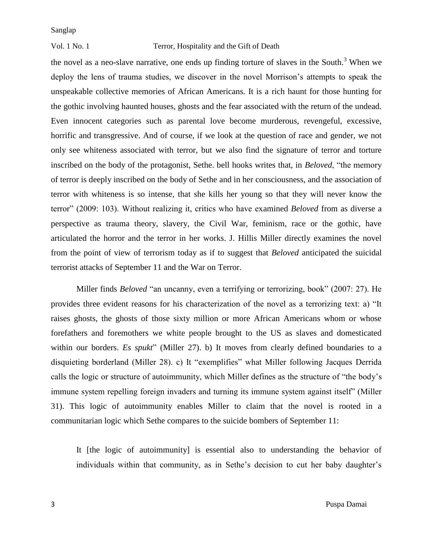#### Vol. 1 No. 1 Terror, Hospitality and the Gift of Death

the novel as a neo-slave narrative, one ends up finding torture of slaves in the South.<sup>3</sup> When we deploy the lens of trauma studies, we discover in the novel Morrison's attempts to speak the unspeakable collective memories of African Americans. It is a rich haunt for those hunting for the gothic involving haunted houses, ghosts and the fear associated with the return of the undead. Even innocent categories such as parental love become murderous, revengeful, excessive, horrific and transgressive. And of course, if we look at the question of race and gender, we not only see whiteness associated with terror, but we also find the signature of terror and torture inscribed on the body of the protagonist, Sethe. bell hooks writes that, in *Beloved*, "the memory of terror is deeply inscribed on the body of Sethe and in her consciousness, and the association of terror with whiteness is so intense, that she kills her young so that they will never know the terror" (2009: 103). Without realizing it, critics who have examined *Beloved* from as diverse a perspective as trauma theory, slavery, the Civil War, feminism, race or the gothic, have articulated the horror and the terror in her works. J. Hillis Miller directly examines the novel from the point of view of terrorism today as if to suggest that *Beloved* anticipated the suicidal terrorist attacks of September 11 and the War on Terror.

Miller finds *Beloved* "an uncanny, even a terrifying or terrorizing, book" (2007: 27). He provides three evident reasons for his characterization of the novel as a terrorizing text: a) "It raises ghosts, the ghosts of those sixty million or more African Americans whom or whose forefathers and foremothers we white people brought to the US as slaves and domesticated within our borders. *Es spukt*" (Miller 27). b) It moves from clearly defined boundaries to a disquieting borderland (Miller 28). c) It "exemplifies" what Miller following Jacques Derrida calls the logic or structure of autoimmunity, which Miller defines as the structure of "the body's immune system repelling foreign invaders and turning its immune system against itself" (Miller 31). This logic of autoimmunity enables Miller to claim that the novel is rooted in a communitarian logic which Sethe compares to the suicide bombers of September 11:

It [the logic of autoimmunity] is essential also to understanding the behavior of individuals within that community, as in Sethe's decision to cut her baby daughter's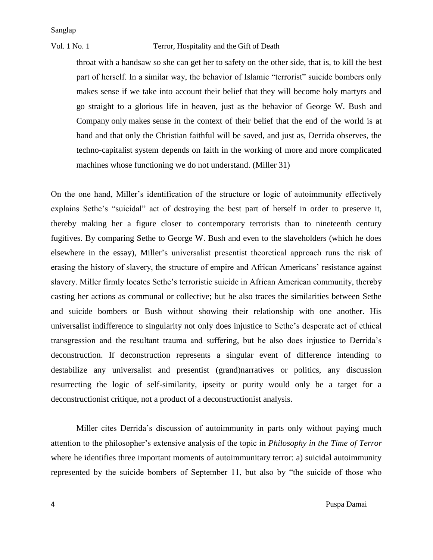#### Vol. 1 No. 1 Terror, Hospitality and the Gift of Death

throat with a handsaw so she can get her to safety on the other side, that is, to kill the best part of herself. In a similar way, the behavior of Islamic "terrorist" suicide bombers only makes sense if we take into account their belief that they will become holy martyrs and go straight to a glorious life in heaven, just as the behavior of George W. Bush and Company only makes sense in the context of their belief that the end of the world is at hand and that only the Christian faithful will be saved, and just as, Derrida observes, the techno-capitalist system depends on faith in the working of more and more complicated machines whose functioning we do not understand. (Miller 31)

On the one hand, Miller's identification of the structure or logic of autoimmunity effectively explains Sethe's "suicidal" act of destroying the best part of herself in order to preserve it, thereby making her a figure closer to contemporary terrorists than to nineteenth century fugitives. By comparing Sethe to George W. Bush and even to the slaveholders (which he does elsewhere in the essay), Miller's universalist presentist theoretical approach runs the risk of erasing the history of slavery, the structure of empire and African Americans' resistance against slavery. Miller firmly locates Sethe's terroristic suicide in African American community, thereby casting her actions as communal or collective; but he also traces the similarities between Sethe and suicide bombers or Bush without showing their relationship with one another. His universalist indifference to singularity not only does injustice to Sethe's desperate act of ethical transgression and the resultant trauma and suffering, but he also does injustice to Derrida's deconstruction. If deconstruction represents a singular event of difference intending to destabilize any universalist and presentist (grand)narratives or politics, any discussion resurrecting the logic of self-similarity, ipseity or purity would only be a target for a deconstructionist critique, not a product of a deconstructionist analysis.

Miller cites Derrida's discussion of autoimmunity in parts only without paying much attention to the philosopher's extensive analysis of the topic in *Philosophy in the Time of Terror* where he identifies three important moments of autoimmunitary terror: a) suicidal autoimmunity represented by the suicide bombers of September 11, but also by "the suicide of those who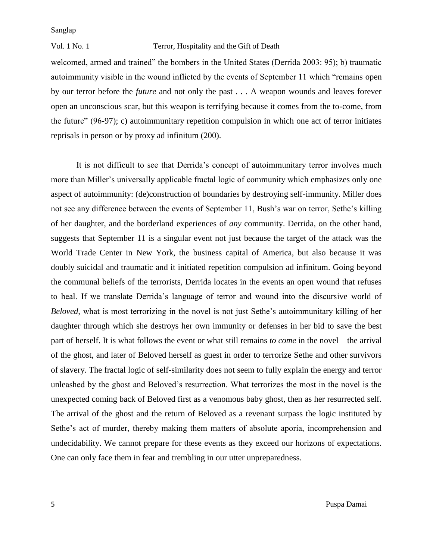#### Vol. 1 No. 1 Terror, Hospitality and the Gift of Death

welcomed, armed and trained" the bombers in the United States (Derrida 2003: 95); b) traumatic autoimmunity visible in the wound inflicted by the events of September 11 which "remains open by our terror before the *future* and not only the past . . . A weapon wounds and leaves forever open an unconscious scar, but this weapon is terrifying because it comes from the to-come, from the future" (96-97); c) autoimmunitary repetition compulsion in which one act of terror initiates reprisals in person or by proxy ad infinitum (200).

It is not difficult to see that Derrida's concept of autoimmunitary terror involves much more than Miller's universally applicable fractal logic of community which emphasizes only one aspect of autoimmunity: (de)construction of boundaries by destroying self-immunity. Miller does not see any difference between the events of September 11, Bush's war on terror, Sethe's killing of her daughter, and the borderland experiences of *any* community. Derrida, on the other hand, suggests that September 11 is a singular event not just because the target of the attack was the World Trade Center in New York, the business capital of America, but also because it was doubly suicidal and traumatic and it initiated repetition compulsion ad infinitum. Going beyond the communal beliefs of the terrorists, Derrida locates in the events an open wound that refuses to heal. If we translate Derrida's language of terror and wound into the discursive world of *Beloved,* what is most terrorizing in the novel is not just Sethe's autoimmunitary killing of her daughter through which she destroys her own immunity or defenses in her bid to save the best part of herself. It is what follows the event or what still remains *to come* in the novel – the arrival of the ghost, and later of Beloved herself as guest in order to terrorize Sethe and other survivors of slavery. The fractal logic of self-similarity does not seem to fully explain the energy and terror unleashed by the ghost and Beloved's resurrection. What terrorizes the most in the novel is the unexpected coming back of Beloved first as a venomous baby ghost, then as her resurrected self. The arrival of the ghost and the return of Beloved as a revenant surpass the logic instituted by Sethe's act of murder, thereby making them matters of absolute aporia, incomprehension and undecidability. We cannot prepare for these events as they exceed our horizons of expectations. One can only face them in fear and trembling in our utter unpreparedness.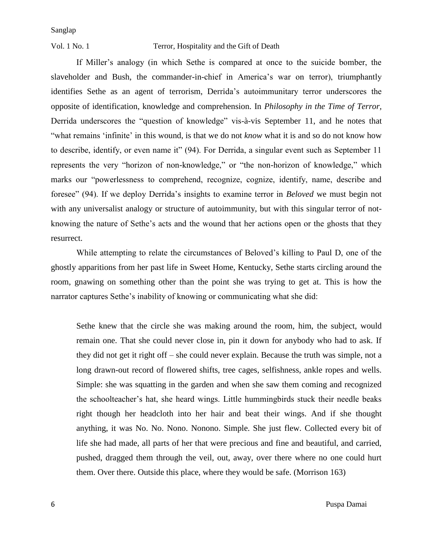#### Vol. 1 No. 1 Terror, Hospitality and the Gift of Death

If Miller's analogy (in which Sethe is compared at once to the suicide bomber, the slaveholder and Bush, the commander-in-chief in America's war on terror), triumphantly identifies Sethe as an agent of terrorism, Derrida's autoimmunitary terror underscores the opposite of identification, knowledge and comprehension. In *Philosophy in the Time of Terror,*  Derrida underscores the "question of knowledge" vis-à-vis September 11, and he notes that "what remains 'infinite' in this wound, is that we do not *know* what it is and so do not know how to describe, identify, or even name it" (94). For Derrida, a singular event such as September 11 represents the very "horizon of non-knowledge," or "the non-horizon of knowledge," which marks our "powerlessness to comprehend, recognize, cognize, identify, name, describe and foresee" (94). If we deploy Derrida's insights to examine terror in *Beloved* we must begin not with any universalist analogy or structure of autoimmunity, but with this singular terror of notknowing the nature of Sethe's acts and the wound that her actions open or the ghosts that they resurrect.

While attempting to relate the circumstances of Beloved's killing to Paul D, one of the ghostly apparitions from her past life in Sweet Home, Kentucky, Sethe starts circling around the room, gnawing on something other than the point she was trying to get at. This is how the narrator captures Sethe's inability of knowing or communicating what she did:

Sethe knew that the circle she was making around the room, him, the subject, would remain one. That she could never close in, pin it down for anybody who had to ask. If they did not get it right off – she could never explain. Because the truth was simple, not a long drawn-out record of flowered shifts, tree cages, selfishness, ankle ropes and wells. Simple: she was squatting in the garden and when she saw them coming and recognized the schoolteacher's hat, she heard wings. Little hummingbirds stuck their needle beaks right though her headcloth into her hair and beat their wings. And if she thought anything, it was No. No. Nono. Nonono. Simple. She just flew. Collected every bit of life she had made, all parts of her that were precious and fine and beautiful, and carried, pushed, dragged them through the veil, out, away, over there where no one could hurt them. Over there. Outside this place, where they would be safe. (Morrison 163)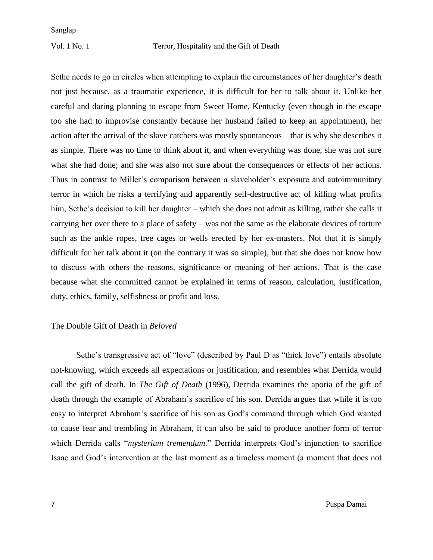Sethe needs to go in circles when attempting to explain the circumstances of her daughter's death not just because, as a traumatic experience, it is difficult for her to talk about it. Unlike her careful and daring planning to escape from Sweet Home, Kentucky (even though in the escape too she had to improvise constantly because her husband failed to keep an appointment), her action after the arrival of the slave catchers was mostly spontaneous – that is why she describes it as simple. There was no time to think about it, and when everything was done, she was not sure what she had done; and she was also not sure about the consequences or effects of her actions. Thus in contrast to Miller's comparison between a slaveholder's exposure and autoimmunitary terror in which he risks a terrifying and apparently self-destructive act of killing what profits him, Sethe's decision to kill her daughter – which she does not admit as killing, rather she calls it carrying her over there to a place of safety – was not the same as the elaborate devices of torture such as the ankle ropes, tree cages or wells erected by her ex-masters. Not that it is simply difficult for her talk about it (on the contrary it was so simple), but that she does not know how to discuss with others the reasons, significance or meaning of her actions. That is the case because what she committed cannot be explained in terms of reason, calculation, justification, duty, ethics, family, selfishness or profit and loss.

#### The Double Gift of Death in *Beloved*

Sethe's transgressive act of "love" (described by Paul D as "thick love") entails absolute not-knowing, which exceeds all expectations or justification, and resembles what Derrida would call the gift of death. In *The Gift of Death* (1996), Derrida examines the aporia of the gift of death through the example of Abraham's sacrifice of his son. Derrida argues that while it is too easy to interpret Abraham's sacrifice of his son as God's command through which God wanted to cause fear and trembling in Abraham, it can also be said to produce another form of terror which Derrida calls "*mysterium tremendum*." Derrida interprets God's injunction to sacrifice Isaac and God's intervention at the last moment as a timeless moment (a moment that does not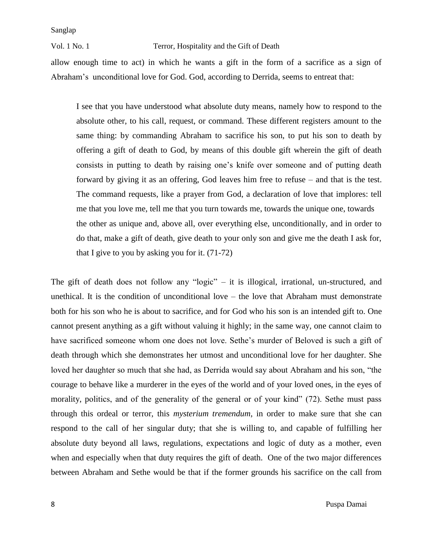#### Vol. 1 No. 1 Terror, Hospitality and the Gift of Death

allow enough time to act) in which he wants a gift in the form of a sacrifice as a sign of Abraham's unconditional love for God. God, according to Derrida, seems to entreat that:

I see that you have understood what absolute duty means, namely how to respond to the absolute other, to his call, request, or command. These different registers amount to the same thing: by commanding Abraham to sacrifice his son, to put his son to death by offering a gift of death to God, by means of this double gift wherein the gift of death consists in putting to death by raising one's knife over someone and of putting death forward by giving it as an offering, God leaves him free to refuse – and that is the test. The command requests, like a prayer from God, a declaration of love that implores: tell me that you love me, tell me that you turn towards me, towards the unique one, towards the other as unique and, above all, over everything else, unconditionally, and in order to do that, make a gift of death, give death to your only son and give me the death I ask for, that I give to you by asking you for it. (71-72)

The gift of death does not follow any "logic" – it is illogical, irrational, un-structured, and unethical. It is the condition of unconditional love – the love that Abraham must demonstrate both for his son who he is about to sacrifice, and for God who his son is an intended gift to. One cannot present anything as a gift without valuing it highly; in the same way, one cannot claim to have sacrificed someone whom one does not love. Sethe's murder of Beloved is such a gift of death through which she demonstrates her utmost and unconditional love for her daughter. She loved her daughter so much that she had, as Derrida would say about Abraham and his son, "the courage to behave like a murderer in the eyes of the world and of your loved ones, in the eyes of morality, politics, and of the generality of the general or of your kind" (72). Sethe must pass through this ordeal or terror, this *mysterium tremendum*, in order to make sure that she can respond to the call of her singular duty; that she is willing to, and capable of fulfilling her absolute duty beyond all laws, regulations, expectations and logic of duty as a mother, even when and especially when that duty requires the gift of death. One of the two major differences between Abraham and Sethe would be that if the former grounds his sacrifice on the call from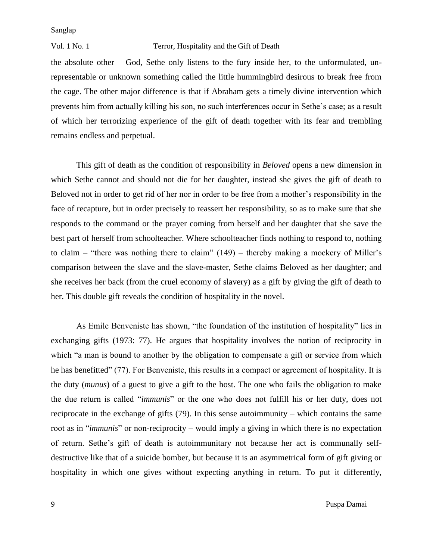#### Vol. 1 No. 1 Terror, Hospitality and the Gift of Death

the absolute other – God, Sethe only listens to the fury inside her, to the unformulated, unrepresentable or unknown something called the little hummingbird desirous to break free from the cage. The other major difference is that if Abraham gets a timely divine intervention which prevents him from actually killing his son, no such interferences occur in Sethe's case; as a result of which her terrorizing experience of the gift of death together with its fear and trembling remains endless and perpetual.

This gift of death as the condition of responsibility in *Beloved* opens a new dimension in which Sethe cannot and should not die for her daughter, instead she gives the gift of death to Beloved not in order to get rid of her nor in order to be free from a mother's responsibility in the face of recapture, but in order precisely to reassert her responsibility, so as to make sure that she responds to the command or the prayer coming from herself and her daughter that she save the best part of herself from schoolteacher. Where schoolteacher finds nothing to respond to, nothing to claim – "there was nothing there to claim" (149) – thereby making a mockery of Miller's comparison between the slave and the slave-master, Sethe claims Beloved as her daughter; and she receives her back (from the cruel economy of slavery) as a gift by giving the gift of death to her. This double gift reveals the condition of hospitality in the novel.

As Emile Benveniste has shown, "the foundation of the institution of hospitality" lies in exchanging gifts (1973: 77). He argues that hospitality involves the notion of reciprocity in which "a man is bound to another by the obligation to compensate a gift or service from which he has benefitted" (77). For Benveniste, this results in a compact or agreement of hospitality. It is the duty (*munus*) of a guest to give a gift to the host. The one who fails the obligation to make the due return is called "*immunis*" or the one who does not fulfill his or her duty, does not reciprocate in the exchange of gifts (79). In this sense autoimmunity – which contains the same root as in "*immunis*" or non-reciprocity – would imply a giving in which there is no expectation of return. Sethe's gift of death is autoimmunitary not because her act is communally selfdestructive like that of a suicide bomber, but because it is an asymmetrical form of gift giving or hospitality in which one gives without expecting anything in return. To put it differently,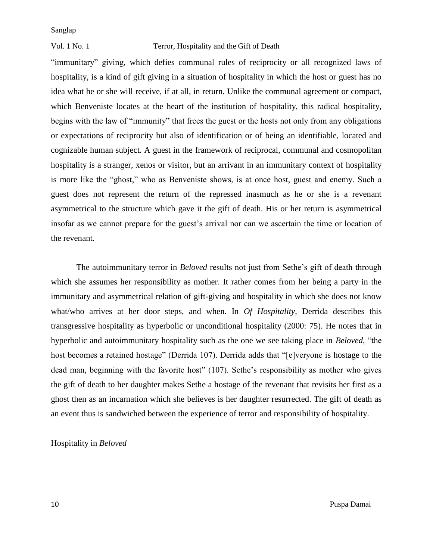#### Vol. 1 No. 1 Terror, Hospitality and the Gift of Death

"immunitary" giving, which defies communal rules of reciprocity or all recognized laws of hospitality, is a kind of gift giving in a situation of hospitality in which the host or guest has no idea what he or she will receive, if at all, in return. Unlike the communal agreement or compact, which Benveniste locates at the heart of the institution of hospitality, this radical hospitality, begins with the law of "immunity" that frees the guest or the hosts not only from any obligations or expectations of reciprocity but also of identification or of being an identifiable, located and cognizable human subject. A guest in the framework of reciprocal, communal and cosmopolitan hospitality is a stranger, xenos or visitor, but an arrivant in an immunitary context of hospitality is more like the "ghost," who as Benveniste shows, is at once host, guest and enemy. Such a guest does not represent the return of the repressed inasmuch as he or she is a revenant asymmetrical to the structure which gave it the gift of death. His or her return is asymmetrical insofar as we cannot prepare for the guest's arrival nor can we ascertain the time or location of the revenant.

The autoimmunitary terror in *Beloved* results not just from Sethe's gift of death through which she assumes her responsibility as mother. It rather comes from her being a party in the immunitary and asymmetrical relation of gift-giving and hospitality in which she does not know what/who arrives at her door steps, and when. In *Of Hospitality*, Derrida describes this transgressive hospitality as hyperbolic or unconditional hospitality (2000: 75). He notes that in hyperbolic and autoimmunitary hospitality such as the one we see taking place in *Beloved*, "the host becomes a retained hostage" (Derrida 107). Derrida adds that "[e]veryone is hostage to the dead man, beginning with the favorite host" (107). Sethe's responsibility as mother who gives the gift of death to her daughter makes Sethe a hostage of the revenant that revisits her first as a ghost then as an incarnation which she believes is her daughter resurrected. The gift of death as an event thus is sandwiched between the experience of terror and responsibility of hospitality.

#### Hospitality in *Beloved*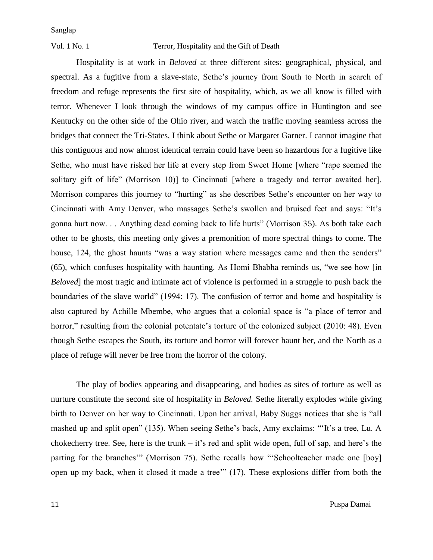#### Vol. 1 No. 1 Terror, Hospitality and the Gift of Death

Hospitality is at work in *Beloved* at three different sites: geographical, physical, and spectral. As a fugitive from a slave-state, Sethe's journey from South to North in search of freedom and refuge represents the first site of hospitality, which, as we all know is filled with terror. Whenever I look through the windows of my campus office in Huntington and see Kentucky on the other side of the Ohio river, and watch the traffic moving seamless across the bridges that connect the Tri-States, I think about Sethe or Margaret Garner. I cannot imagine that this contiguous and now almost identical terrain could have been so hazardous for a fugitive like Sethe, who must have risked her life at every step from Sweet Home [where "rape seemed the solitary gift of life" (Morrison 10)] to Cincinnati [where a tragedy and terror awaited her]. Morrison compares this journey to "hurting" as she describes Sethe's encounter on her way to Cincinnati with Amy Denver, who massages Sethe's swollen and bruised feet and says: "It's gonna hurt now. . . Anything dead coming back to life hurts" (Morrison 35). As both take each other to be ghosts, this meeting only gives a premonition of more spectral things to come. The house, 124, the ghost haunts "was a way station where messages came and then the senders" (65), which confuses hospitality with haunting. As Homi Bhabha reminds us, "we see how [in *Beloved*] the most tragic and intimate act of violence is performed in a struggle to push back the boundaries of the slave world" (1994: 17). The confusion of terror and home and hospitality is also captured by Achille Mbembe, who argues that a colonial space is "a place of terror and horror," resulting from the colonial potentate's torture of the colonized subject (2010: 48). Even though Sethe escapes the South, its torture and horror will forever haunt her, and the North as a place of refuge will never be free from the horror of the colony.

The play of bodies appearing and disappearing, and bodies as sites of torture as well as nurture constitute the second site of hospitality in *Beloved.* Sethe literally explodes while giving birth to Denver on her way to Cincinnati. Upon her arrival, Baby Suggs notices that she is "all mashed up and split open" (135). When seeing Sethe's back, Amy exclaims: "'It's a tree, Lu. A chokecherry tree. See, here is the trunk – it's red and split wide open, full of sap, and here's the parting for the branches'" (Morrison 75). Sethe recalls how "'Schoolteacher made one [boy] open up my back, when it closed it made a tree'" (17). These explosions differ from both the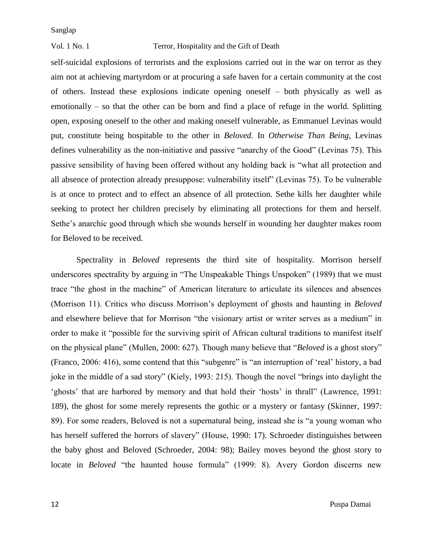#### Vol. 1 No. 1 Terror, Hospitality and the Gift of Death

self-suicidal explosions of terrorists and the explosions carried out in the war on terror as they aim not at achieving martyrdom or at procuring a safe haven for a certain community at the cost of others. Instead these explosions indicate opening oneself – both physically as well as emotionally – so that the other can be born and find a place of refuge in the world. Splitting open, exposing oneself to the other and making oneself vulnerable, as Emmanuel Levinas would put, constitute being hospitable to the other in *Beloved.* In *Otherwise Than Being*, Levinas defines vulnerability as the non-initiative and passive "anarchy of the Good" (Levinas 75). This passive sensibility of having been offered without any holding back is "what all protection and all absence of protection already presuppose: vulnerability itself" (Levinas 75). To be vulnerable is at once to protect and to effect an absence of all protection. Sethe kills her daughter while seeking to protect her children precisely by eliminating all protections for them and herself. Sethe's anarchic good through which she wounds herself in wounding her daughter makes room for Beloved to be received.

Spectrality in *Beloved* represents the third site of hospitality. Morrison herself underscores spectrality by arguing in "The Unspeakable Things Unspoken" (1989) that we must trace "the ghost in the machine" of American literature to articulate its silences and absences (Morrison 11). Critics who discuss Morrison's deployment of ghosts and haunting in *Beloved*  and elsewhere believe that for Morrison "the visionary artist or writer serves as a medium" in order to make it "possible for the surviving spirit of African cultural traditions to manifest itself on the physical plane" (Mullen, 2000: 627). Though many believe that "*Beloved* is a ghost story" (Franco, 2006: 416), some contend that this "subgenre" is "an interruption of 'real' history, a bad joke in the middle of a sad story" (Kiely, 1993: 215). Though the novel "brings into daylight the 'ghosts' that are harbored by memory and that hold their 'hosts' in thrall" (Lawrence, 1991: 189), the ghost for some merely represents the gothic or a mystery or fantasy (Skinner, 1997: 89). For some readers, Beloved is not a supernatural being, instead she is "a young woman who has herself suffered the horrors of slavery" (House, 1990: 17). Schroeder distinguishes between the baby ghost and Beloved (Schroeder, 2004: 98); Bailey moves beyond the ghost story to locate in *Beloved* "the haunted house formula" (1999: 8). Avery Gordon discerns new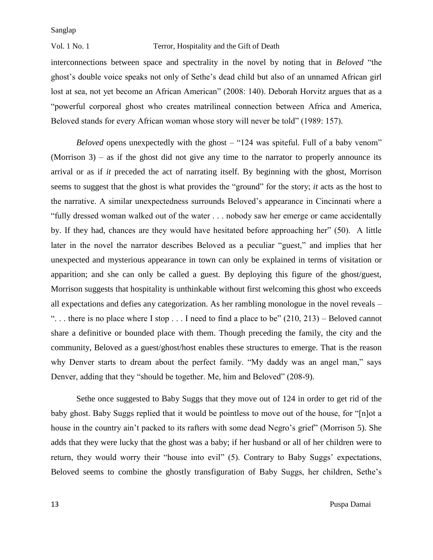#### Vol. 1 No. 1 Terror, Hospitality and the Gift of Death

interconnections between space and spectrality in the novel by noting that in *Beloved* "the ghost's double voice speaks not only of Sethe's dead child but also of an unnamed African girl lost at sea, not yet become an African American" (2008: 140). Deborah Horvitz argues that as a "powerful corporeal ghost who creates matrilineal connection between Africa and America, Beloved stands for every African woman whose story will never be told" (1989: 157).

*Beloved* opens unexpectedly with the ghost – "124 was spiteful. Full of a baby venom" (Morrison 3) – as if the ghost did not give any time to the narrator to properly announce its arrival or as if *it* preceded the act of narrating itself. By beginning with the ghost, Morrison seems to suggest that the ghost is what provides the "ground" for the story; *it* acts as the host to the narrative. A similar unexpectedness surrounds Beloved's appearance in Cincinnati where a "fully dressed woman walked out of the water . . . nobody saw her emerge or came accidentally by. If they had, chances are they would have hesitated before approaching her" (50). A little later in the novel the narrator describes Beloved as a peculiar "guest," and implies that her unexpected and mysterious appearance in town can only be explained in terms of visitation or apparition; and she can only be called a guest. By deploying this figure of the ghost/guest, Morrison suggests that hospitality is unthinkable without first welcoming this ghost who exceeds all expectations and defies any categorization. As her rambling monologue in the novel reveals – "... there is no place where I stop ... I need to find a place to be"  $(210, 213)$  – Beloved cannot share a definitive or bounded place with them. Though preceding the family, the city and the community, Beloved as a guest/ghost/host enables these structures to emerge. That is the reason why Denver starts to dream about the perfect family. "My daddy was an angel man," says Denver, adding that they "should be together. Me, him and Beloved" (208-9).

Sethe once suggested to Baby Suggs that they move out of 124 in order to get rid of the baby ghost. Baby Suggs replied that it would be pointless to move out of the house, for "[n]ot a house in the country ain't packed to its rafters with some dead Negro's grief" (Morrison 5). She adds that they were lucky that the ghost was a baby; if her husband or all of her children were to return, they would worry their "house into evil" (5). Contrary to Baby Suggs' expectations, Beloved seems to combine the ghostly transfiguration of Baby Suggs, her children, Sethe's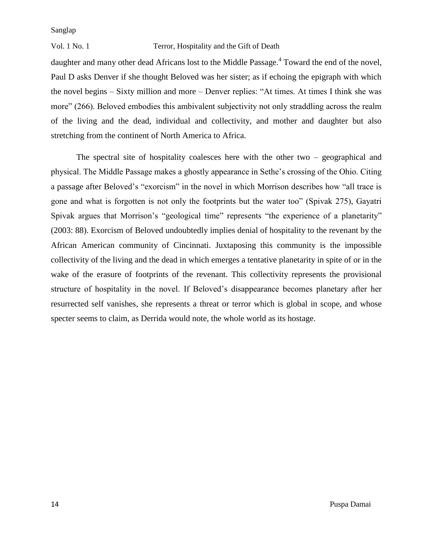#### Vol. 1 No. 1 Terror, Hospitality and the Gift of Death

daughter and many other dead Africans lost to the Middle Passage.<sup>4</sup> Toward the end of the novel, Paul D asks Denver if she thought Beloved was her sister; as if echoing the epigraph with which the novel begins – Sixty million and more – Denver replies: "At times. At times I think she was more" (266). Beloved embodies this ambivalent subjectivity not only straddling across the realm of the living and the dead, individual and collectivity, and mother and daughter but also stretching from the continent of North America to Africa.

The spectral site of hospitality coalesces here with the other two – geographical and physical. The Middle Passage makes a ghostly appearance in Sethe's crossing of the Ohio. Citing a passage after Beloved's "exorcism" in the novel in which Morrison describes how "all trace is gone and what is forgotten is not only the footprints but the water too" (Spivak 275), Gayatri Spivak argues that Morrison's "geological time" represents "the experience of a planetarity" (2003: 88). Exorcism of Beloved undoubtedly implies denial of hospitality to the revenant by the African American community of Cincinnati. Juxtaposing this community is the impossible collectivity of the living and the dead in which emerges a tentative planetarity in spite of or in the wake of the erasure of footprints of the revenant. This collectivity represents the provisional structure of hospitality in the novel. If Beloved's disappearance becomes planetary after her resurrected self vanishes, she represents a threat or terror which is global in scope, and whose specter seems to claim, as Derrida would note, the whole world as its hostage.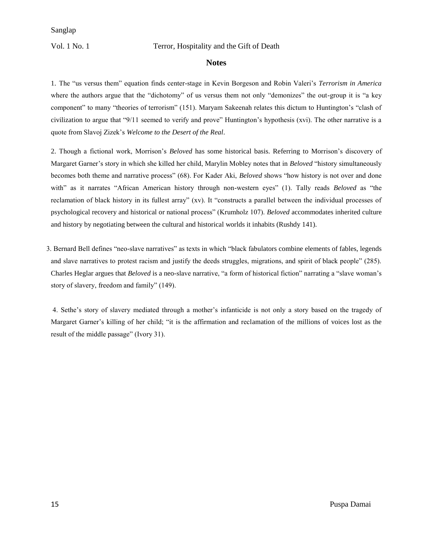#### Vol. 1 No. 1 Terror, Hospitality and the Gift of Death

#### **Notes**

1. The "us versus them" equation finds center-stage in Kevin Borgeson and Robin Valeri's *Terrorism in America* where the authors argue that the "dichotomy" of us versus them not only "demonizes" the out-group it is "a key component" to many "theories of terrorism" (151). Maryam Sakeenah relates this dictum to Huntington's "clash of civilization to argue that "9/11 seemed to verify and prove" Huntington's hypothesis (xvi). The other narrative is a quote from Slavoj Zizek's *Welcome to the Desert of the Real*.

2. Though a fictional work, Morrison's *Beloved* has some historical basis. Referring to Morrison's discovery of Margaret Garner's story in which she killed her child, Marylin Mobley notes that in *Beloved* "history simultaneously becomes both theme and narrative process" (68). For Kader Aki, *Beloved* shows "how history is not over and done with" as it narrates "African American history through non-western eyes" (1). Tally reads *Beloved* as "the reclamation of black history in its fullest array" (xv). It "constructs a parallel between the individual processes of psychological recovery and historical or national process" (Krumholz 107). *Beloved* accommodates inherited culture and history by negotiating between the cultural and historical worlds it inhabits (Rushdy 141).

 3. Bernard Bell defines "neo-slave narratives" as texts in which "black fabulators combine elements of fables, legends and slave narratives to protest racism and justify the deeds struggles, migrations, and spirit of black people" (285). Charles Heglar argues that *Beloved* is a neo-slave narrative, "a form of historical fiction" narrating a "slave woman's story of slavery, freedom and family" (149).

4. Sethe's story of slavery mediated through a mother's infanticide is not only a story based on the tragedy of Margaret Garner's killing of her child; "it is the affirmation and reclamation of the millions of voices lost as the result of the middle passage" (Ivory 31).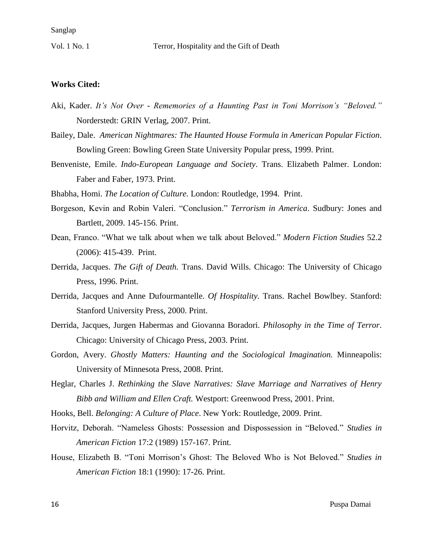#### **Works Cited:**

- Aki, Kader. *It's Not Over - Rememories of a Haunting Past in Toni Morrison's "Beloved."* Norderstedt: GRIN Verlag, 2007. Print.
- Bailey, Dale. *American Nightmares: The Haunted House Formula in American Popular Fiction*. Bowling Green: Bowling Green State University Popular press, 1999. Print.
- Benveniste, Emile. *Indo-European Language and Society*. Trans. Elizabeth Palmer. London: Faber and Faber, 1973. Print.

Bhabha, Homi. *The Location of Culture.* London: Routledge, 1994. Print.

- Borgeson, Kevin and Robin Valeri. "Conclusion." *Terrorism in America*. Sudbury: Jones and Bartlett, 2009. 145-156. Print.
- Dean, Franco. "What we talk about when we talk about Beloved." *Modern Fiction Studies* 52.2 (2006): 415-439. Print.
- Derrida, Jacques. *The Gift of Death.* Trans. David Wills. Chicago: The University of Chicago Press, 1996. Print.
- Derrida, Jacques and Anne Dufourmantelle. *Of Hospitality.* Trans. Rachel Bowlbey. Stanford: Stanford University Press, 2000. Print.
- Derrida, Jacques, Jurgen Habermas and Giovanna Boradori. *Philosophy in the Time of Terror*. Chicago: University of Chicago Press, 2003. Print.
- Gordon, Avery. *Ghostly Matters: Haunting and the Sociological Imagination.* Minneapolis: University of Minnesota Press, 2008. Print.
- Heglar, Charles J. *Rethinking the Slave Narratives: Slave Marriage and Narratives of Henry Bibb and William and Ellen Craft.* Westport: Greenwood Press, 2001. Print.
- Hooks, Bell. *Belonging: A Culture of Place*. New York: Routledge, 2009. Print.
- Horvitz, Deborah. "Nameless Ghosts: Possession and Dispossession in "Beloved." *Studies in American Fiction* 17:2 (1989) 157-167. Print.
- House, Elizabeth B. "Toni Morrison's Ghost: The Beloved Who is Not Beloved." *Studies in American Fiction* 18:1 (1990): 17-26. Print.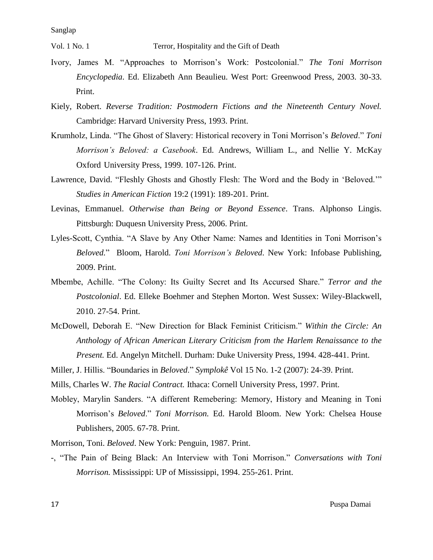Vol. 1 No. 1 Terror, Hospitality and the Gift of Death

- Ivory, James M. "Approaches to Morrison's Work: Postcolonial." *The Toni Morrison Encyclopedia*. Ed. Elizabeth Ann Beaulieu. West Port: Greenwood Press, 2003. 30-33. Print.
- Kiely, Robert. *Reverse Tradition: Postmodern Fictions and the Nineteenth Century Novel.*  Cambridge: Harvard University Press, 1993. Print.
- Krumholz, Linda. "The Ghost of Slavery: Historical recovery in Toni Morrison's *Beloved*." *Toni Morrison's Beloved: a Casebook*. Ed. Andrews, William L., and Nellie Y. McKay Oxford University Press, 1999. 107-126. Print.
- Lawrence, David. "Fleshly Ghosts and Ghostly Flesh: The Word and the Body in 'Beloved.'" *Studies in American Fiction* 19:2 (1991): 189-201. Print.
- Levinas, Emmanuel. *Otherwise than Being or Beyond Essence*. Trans. Alphonso Lingis. Pittsburgh: Duquesn University Press, 2006. Print.
- Lyles-Scott, Cynthia. "A Slave by Any Other Name: Names and Identities in Toni Morrison's *Beloved.*"Bloom, Harold. *Toni Morrison's Beloved*. New York: Infobase Publishing, 2009. Print.
- Mbembe, Achille. "The Colony: Its Guilty Secret and Its Accursed Share." *Terror and the Postcolonial*. Ed. Elleke Boehmer and Stephen Morton. West Sussex: Wiley-Blackwell, 2010. 27-54. Print.
- McDowell, Deborah E. "New Direction for Black Feminist Criticism." *Within the Circle: An Anthology of African American Literary Criticism from the Harlem Renaissance to the Present.* Ed. Angelyn Mitchell. Durham: Duke University Press, 1994. 428-441. Print.

Miller, J. Hillis. "Boundaries in *Beloved*." *Symplokê* Vol 15 No. 1-2 (2007): 24-39. Print.

Mills, Charles W. *The Racial Contract.* Ithaca: Cornell University Press, 1997. Print.

Mobley, Marylin Sanders. "A different Remebering: Memory, History and Meaning in Toni Morrison's *Beloved*." *Toni Morrison.* Ed. Harold Bloom. New York: Chelsea House Publishers, 2005. 67-78. Print.

Morrison, Toni. *Beloved*. New York: Penguin, 1987. Print.

-, "The Pain of Being Black: An Interview with Toni Morrison." *Conversations with Toni Morrison.* Mississippi: UP of Mississippi, 1994. 255-261. Print.